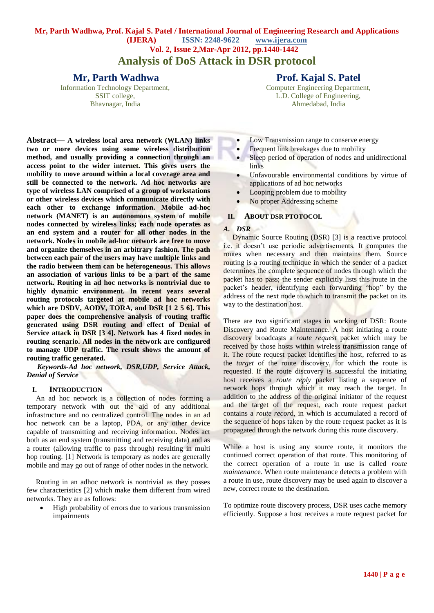## **Mr, Parth Wadhwa, Prof. Kajal S. Patel / International Journal of Engineering Research and Applications (IJERA) ISSN: 2248-9622 www.ijera.com Vol. 2, Issue 2,Mar-Apr 2012, pp.1440-1442 Analysis of DoS Attack in DSR protocol**

# **Mr, Parth Wadhwa**

Information Technology Department, SSIT college, Bhavnagar, India

**Prof. Kajal S. Patel**

Computer Engineering Department, L.D. College of Engineering, Ahmedabad, India

**Abstract***—* **A wireless local area network (WLAN) links two or more devices using some wireless distribution method, and usually providing a connection through an access point to the wider internet. This gives users the mobility to move around within a local coverage area and still be connected to the network. Ad hoc networks are type of wireless LAN comprised of a group of workstations or other wireless devices which communicate directly with each other to exchange information. Mobile ad-hoc network (MANET) is an autonomous system of mobile nodes connected by wireless links; each node operates as an end system and a router for all other nodes in the network. Nodes in mobile ad-hoc network are free to move and organize themselves in an arbitrary fashion. The path between each pair of the users may have multiple links and the radio between them can be heterogeneous. This allows an association of various links to be a part of the same network. Routing in ad hoc networks is nontrivial due to highly dynamic environment. In recent years several routing protocols targeted at mobile ad hoc networks which are DSDV, AODV, TORA, and DSR [1 2 5 6]. This paper does the comprehensive analysis of routing traffic generated using DSR routing and effect of Denial of Service attack in DSR [3 4]. Network has 4 fixed nodes in routing scenario. All nodes in the network are configured to manage UDP traffic. The result shows the amount of routing traffic generated.** 

*Keywords-Ad hoc network, DSR,UDP, Service Attack, Denial of Service*

### **I. INTRODUCTION**

 An ad hoc network is a collection of nodes forming a temporary network with out the aid of any additional infrastructure and no centralized control. The nodes in an ad hoc network can be a laptop, PDA, or any other device capable of transmitting and receiving information. Nodes act both as an end system (transmitting and receiving data) and as a router (allowing traffic to pass through) resulting in multi hop routing. [1] Network is temporary as nodes are generally mobile and may go out of range of other nodes in the network.

 Routing in an adhoc network is nontrivial as they posses few characteristics [2] which make them different from wired networks. They are as follows:

 High probability of errors due to various transmission impairments

- Low Transmission range to conserve energy
- Frequent link breakages due to mobility
- Sleep period of operation of nodes and unidirectional links
- Unfavourable environmental conditions by virtue of applications of ad hoc networks
- Looping problem due to mobility
- No proper Addressing scheme

### **II. ABOUT DSR PTOTOCOL**

#### *A. DSR*

 Dynamic Source Routing (DSR) [3] is a reactive protocol i.e. it doesn't use periodic advertisements. It computes the routes when necessary and then maintains them. Source routing is a routing technique in which the sender of a packet determines the complete sequence of nodes through which the packet has to pass; the sender explicitly lists this route in the packet's header, identifying each forwarding "hop" by the address of the next node to which to transmit the packet on its way to the destination host.

There are two significant stages in working of DSR: Route Discovery and Route Maintenance. A host initiating a route discovery broadcasts a *route request* packet which may be received by those hosts within wireless transmission range of it. The route request packet identifies the host, referred to as the *target* of the route discovery, for which the route is requested. If the route discovery is successful the initiating host receives a *route reply* packet listing a sequence of network hops through which it may reach the target. In addition to the address of the original initiator of the request and the target of the request, each route request packet contains a *route recor*d, in which is accumulated a record of the sequence of hops taken by the route request packet as it is propagated through the network during this route discovery.

While a host is using any source route, it monitors the continued correct operation of that route. This monitoring of the correct operation of a route in use is called *route maintenanc*e. When route maintenance detects a problem with a route in use, route discovery may be used again to discover a new, correct route to the destination.

To optimize route discovery process, DSR uses cache memory efficiently. Suppose a host receives a route request packet for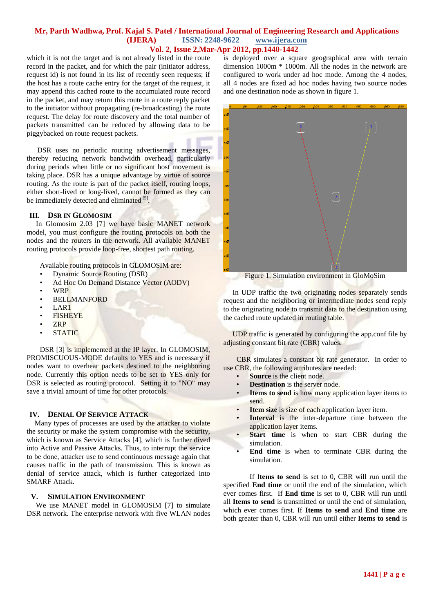### **Mr, Parth Wadhwa, Prof. Kajal S. Patel / International Journal of Engineering Research and Applications (IJERA) ISSN: 2248-9622 www.ijera.com Vol. 2, Issue 2,Mar-Apr 2012, pp.1440-1442**

which it is not the target and is not already listed in the route record in the packet, and for which the pair (initiator address, request id) is not found in its list of recently seen requests; if the host has a route cache entry for the target of the request, it may append this cached route to the accumulated route record in the packet, and may return this route in a route reply packet to the initiator without propagating (re-broadcasting) the route request. The delay for route discovery and the total number of packets transmitted can be reduced by allowing data to be piggybacked on route request packets.

DSR uses no periodic routing advertisement messages, thereby reducing network bandwidth overhead, particularly during periods when little or no significant host movement is taking place. DSR has a unique advantage by virtue of source routing. As the route is part of the packet itself, routing loops, either short-lived or long-lived, cannot be formed as they can be immediately detected and eliminated [5].

### **III. DSR IN GLOMOSIM**

In Glomosim 2.03 [7] we have basic MANET network model, you must configure the routing protocols on both the nodes and the routers in the network. All available MANET routing protocols provide loop-free, shortest path routing.

Available routing protocols in GLOMOSIM are:

- Dynamic Source Routing (DSR)
- Ad Hoc On Demand Distance Vector (AODV)
- WRP
- **BELLMANFORD**
- LAR1
- **FISHEYE**
- ZRP
- **STATIC**

DSR [3] is implemented at the IP layer. In GLOMOSIM, PROMISCUOUS-MODE defaults to YES and is necessary if nodes want to overhear packets destined to the neighboring node. Currently this option needs to be set to YES only for DSR is selected as routing protocol. Setting it to "NO" may save a trivial amount of time for other protocols.

## **IV. DENIAL OF SERVICE ATTACK**

Many types of processes are used by the attacker to violate the security or make the system compromise with the security, which is known as Service Attacks [4], which is further dived into Active and Passive Attacks. Thus, to interrupt the service to be done, attacker use to send continuous message again that causes traffic in the path of transmission. This is known as denial of service attack, which is further categorized into SMARF Attack.

### **V. SIMULATION ENVIRONMENT**

 We use MANET model in GLOMOSIM [7] to simulate DSR network. The enterprise network with five WLAN nodes

is deployed over a square geographical area with terrain dimension 1000m \* 1000m. All the nodes in the network are configured to work under ad hoc mode. Among the 4 nodes, all 4 nodes are fixed ad hoc nodes having two source nodes and one destination node as shown in figure 1.



Figure 1. Simulation environment in GloMoSim

 In UDP traffic the two originating nodes separately sends request and the neighboring or intermediate nodes send reply to the originating node to transmit data to the destination using the cached route updated in routing table.

 UDP traffic is generated by configuring the app.conf file by adjusting constant bit rate (CBR) values.

CBR simulates a constant bit rate generator. In order to use CBR, the following attributes are needed:

- **Source** is the client node.
- **Destination** is the server node.
- **Items to send** is how many application layer items to send.
- **Item size** is size of each application layer item.
- **Interval** is the inter-departure time between the application layer items.
- **Start time** is when to start CBR during the simulation.
- **End time** is when to terminate CBR during the simulation.

If I**tems to send** is set to 0, CBR will run until the specified **End time** or until the end of the simulation, which ever comes first. If **End time** is set to 0, CBR will run until all **Items to send** is transmitted or until the end of simulation, which ever comes first. If **Items to send** and **End time** are both greater than 0, CBR will run until either **Items to send** is